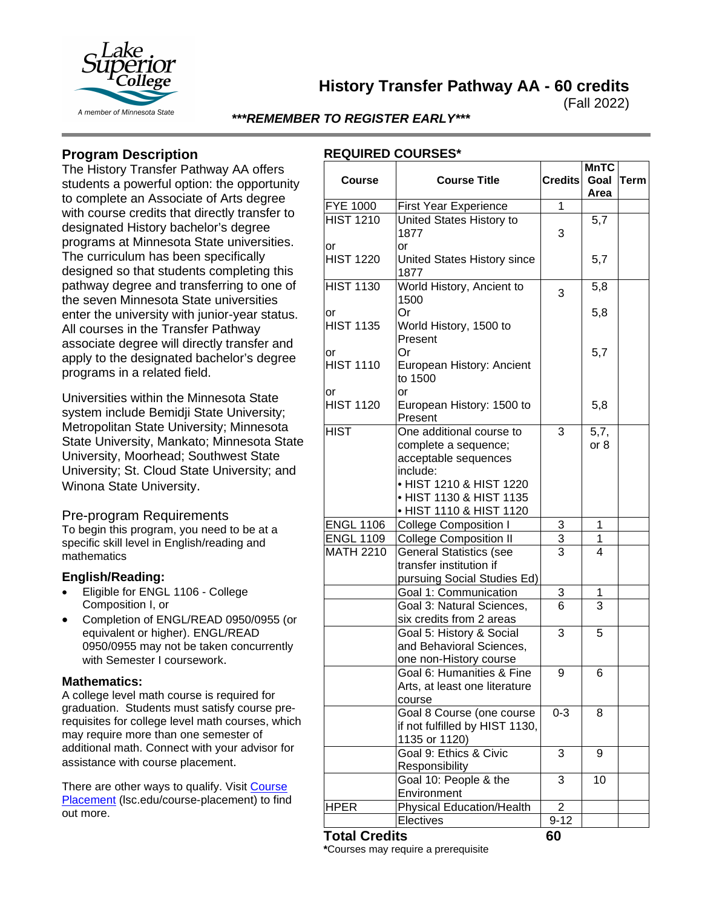

**History Transfer Pathway AA - 60 credits**

(Fall 2022)

## *\*\*\*REMEMBER TO REGISTER EARLY\*\*\**

# **Program Description**

The History Transfer Pathway AA offers students a powerful option: the opportunity to complete an Associate of Arts degree with course credits that directly transfer to designated History bachelor's degree programs at Minnesota State universities. The curriculum has been specifically designed so that students completing this pathway degree and transferring to one of the seven Minnesota State universities enter the university with junior-year status. All courses in the Transfer Pathway associate degree will directly transfer and apply to the designated bachelor's degree programs in a related field.

Universities within the Minnesota State system include Bemidji State University; Metropolitan State University; Minnesota State University, Mankato; Minnesota State University, Moorhead; Southwest State University; St. Cloud State University; and Winona State University.

## Pre-program Requirements

To begin this program, you need to be at a specific skill level in English/reading and mathematics

### **English/Reading:**

- Eligible for ENGL 1106 College Composition I, or
- Completion of ENGL/READ 0950/0955 (or equivalent or higher). ENGL/READ 0950/0955 may not be taken concurrently with Semester I coursework.

### **Mathematics:**

A college level math course is required for graduation. Students must satisfy course prerequisites for college level math courses, which may require more than one semester of additional math. Connect with your advisor for assistance with course placement.

There are other ways to qualify. Visit Course [Placement](https://www.lsc.edu/course-placement/) (Isc.edu/course-placement) to find out more.

# **REQUIRED COURSES\***

| 1<br><b>FYE 1000</b><br><b>First Year Experience</b><br><b>HIST 1210</b><br>5,7<br>United States History to<br>1877<br>3<br>or<br>or<br><b>HIST 1220</b><br>5,7<br>United States History since<br>1877<br>World History, Ancient to<br><b>HIST 1130</b><br>5,8<br>3<br>1500<br>Or<br>5,8<br>or<br><b>HIST 1135</b><br>World History, 1500 to<br>Present<br>5,7<br>Or<br>or<br><b>HIST 1110</b><br>European History: Ancient<br>to 1500<br>or<br>or<br><b>HIST 1120</b><br>European History: 1500 to<br>5,8<br>Present<br><b>HIST</b><br>One additional course to<br>3<br>5,7,<br>or 8<br>complete a sequence;<br>acceptable sequences<br>include:<br>• HIST 1210 & HIST 1220<br>• HIST 1130 & HIST 1135<br>• HIST 1110 & HIST 1120<br><b>ENGL 1106</b><br><b>College Composition I</b><br>3<br>1<br><b>ENGL 1109</b><br>3<br><b>College Composition II</b><br>1<br><b>MATH 2210</b><br><b>General Statistics (see</b><br>3<br>4<br>transfer institution if<br>pursuing Social Studies Ed)<br>Goal 1: Communication<br>3<br>1<br>3<br>Goal 3: Natural Sciences,<br>6<br>six credits from 2 areas<br>Goal 5: History & Social<br>3<br>5<br>and Behavioral Sciences,<br>one non-History course<br>Goal 6: Humanities & Fine<br>9<br>6<br>Arts, at least one literature<br>course<br>Goal 8 Course (one course<br>$0 - 3$<br>8<br>if not fulfilled by HIST 1130,<br>1135 or 1120)<br>Goal 9: Ethics & Civic<br>3<br>9<br>Responsibility<br>Goal 10: People & the<br>3<br>10<br>Environment | <b>Course</b> | <b>Course Title</b>              | <b>Credits</b> | <b>MnTC</b><br>Goal<br>Area | <b>Term</b> |
|----------------------------------------------------------------------------------------------------------------------------------------------------------------------------------------------------------------------------------------------------------------------------------------------------------------------------------------------------------------------------------------------------------------------------------------------------------------------------------------------------------------------------------------------------------------------------------------------------------------------------------------------------------------------------------------------------------------------------------------------------------------------------------------------------------------------------------------------------------------------------------------------------------------------------------------------------------------------------------------------------------------------------------------------------------------------------------------------------------------------------------------------------------------------------------------------------------------------------------------------------------------------------------------------------------------------------------------------------------------------------------------------------------------------------------------------------------------------------------------|---------------|----------------------------------|----------------|-----------------------------|-------------|
|                                                                                                                                                                                                                                                                                                                                                                                                                                                                                                                                                                                                                                                                                                                                                                                                                                                                                                                                                                                                                                                                                                                                                                                                                                                                                                                                                                                                                                                                                        |               |                                  |                |                             |             |
|                                                                                                                                                                                                                                                                                                                                                                                                                                                                                                                                                                                                                                                                                                                                                                                                                                                                                                                                                                                                                                                                                                                                                                                                                                                                                                                                                                                                                                                                                        |               |                                  |                |                             |             |
|                                                                                                                                                                                                                                                                                                                                                                                                                                                                                                                                                                                                                                                                                                                                                                                                                                                                                                                                                                                                                                                                                                                                                                                                                                                                                                                                                                                                                                                                                        |               |                                  |                |                             |             |
|                                                                                                                                                                                                                                                                                                                                                                                                                                                                                                                                                                                                                                                                                                                                                                                                                                                                                                                                                                                                                                                                                                                                                                                                                                                                                                                                                                                                                                                                                        |               |                                  |                |                             |             |
|                                                                                                                                                                                                                                                                                                                                                                                                                                                                                                                                                                                                                                                                                                                                                                                                                                                                                                                                                                                                                                                                                                                                                                                                                                                                                                                                                                                                                                                                                        |               |                                  |                |                             |             |
|                                                                                                                                                                                                                                                                                                                                                                                                                                                                                                                                                                                                                                                                                                                                                                                                                                                                                                                                                                                                                                                                                                                                                                                                                                                                                                                                                                                                                                                                                        |               |                                  |                |                             |             |
|                                                                                                                                                                                                                                                                                                                                                                                                                                                                                                                                                                                                                                                                                                                                                                                                                                                                                                                                                                                                                                                                                                                                                                                                                                                                                                                                                                                                                                                                                        |               |                                  |                |                             |             |
|                                                                                                                                                                                                                                                                                                                                                                                                                                                                                                                                                                                                                                                                                                                                                                                                                                                                                                                                                                                                                                                                                                                                                                                                                                                                                                                                                                                                                                                                                        |               |                                  |                |                             |             |
|                                                                                                                                                                                                                                                                                                                                                                                                                                                                                                                                                                                                                                                                                                                                                                                                                                                                                                                                                                                                                                                                                                                                                                                                                                                                                                                                                                                                                                                                                        |               |                                  |                |                             |             |
|                                                                                                                                                                                                                                                                                                                                                                                                                                                                                                                                                                                                                                                                                                                                                                                                                                                                                                                                                                                                                                                                                                                                                                                                                                                                                                                                                                                                                                                                                        |               |                                  |                |                             |             |
|                                                                                                                                                                                                                                                                                                                                                                                                                                                                                                                                                                                                                                                                                                                                                                                                                                                                                                                                                                                                                                                                                                                                                                                                                                                                                                                                                                                                                                                                                        |               |                                  |                |                             |             |
|                                                                                                                                                                                                                                                                                                                                                                                                                                                                                                                                                                                                                                                                                                                                                                                                                                                                                                                                                                                                                                                                                                                                                                                                                                                                                                                                                                                                                                                                                        |               |                                  |                |                             |             |
|                                                                                                                                                                                                                                                                                                                                                                                                                                                                                                                                                                                                                                                                                                                                                                                                                                                                                                                                                                                                                                                                                                                                                                                                                                                                                                                                                                                                                                                                                        |               |                                  |                |                             |             |
|                                                                                                                                                                                                                                                                                                                                                                                                                                                                                                                                                                                                                                                                                                                                                                                                                                                                                                                                                                                                                                                                                                                                                                                                                                                                                                                                                                                                                                                                                        |               |                                  |                |                             |             |
|                                                                                                                                                                                                                                                                                                                                                                                                                                                                                                                                                                                                                                                                                                                                                                                                                                                                                                                                                                                                                                                                                                                                                                                                                                                                                                                                                                                                                                                                                        |               |                                  |                |                             |             |
|                                                                                                                                                                                                                                                                                                                                                                                                                                                                                                                                                                                                                                                                                                                                                                                                                                                                                                                                                                                                                                                                                                                                                                                                                                                                                                                                                                                                                                                                                        |               |                                  |                |                             |             |
|                                                                                                                                                                                                                                                                                                                                                                                                                                                                                                                                                                                                                                                                                                                                                                                                                                                                                                                                                                                                                                                                                                                                                                                                                                                                                                                                                                                                                                                                                        |               |                                  |                |                             |             |
|                                                                                                                                                                                                                                                                                                                                                                                                                                                                                                                                                                                                                                                                                                                                                                                                                                                                                                                                                                                                                                                                                                                                                                                                                                                                                                                                                                                                                                                                                        |               |                                  |                |                             |             |
|                                                                                                                                                                                                                                                                                                                                                                                                                                                                                                                                                                                                                                                                                                                                                                                                                                                                                                                                                                                                                                                                                                                                                                                                                                                                                                                                                                                                                                                                                        |               |                                  |                |                             |             |
| <b>HPER</b><br>2                                                                                                                                                                                                                                                                                                                                                                                                                                                                                                                                                                                                                                                                                                                                                                                                                                                                                                                                                                                                                                                                                                                                                                                                                                                                                                                                                                                                                                                                       |               | <b>Physical Education/Health</b> |                |                             |             |
| Electives<br>$9 - 12$<br>$\mathbf{A}$                                                                                                                                                                                                                                                                                                                                                                                                                                                                                                                                                                                                                                                                                                                                                                                                                                                                                                                                                                                                                                                                                                                                                                                                                                                                                                                                                                                                                                                  |               |                                  |                |                             |             |

## **Total Credits 60**

**\***Courses may require a prerequisite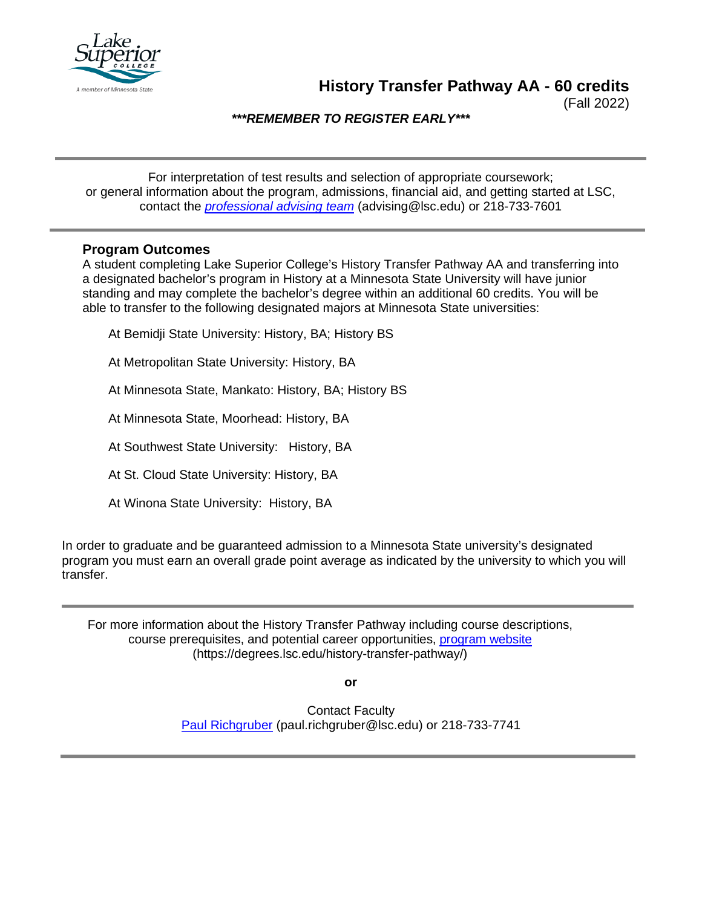

**History Transfer Pathway AA - 60 credits**

(Fall 2022)

*\*\*\*REMEMBER TO REGISTER EARLY\*\*\**

For interpretation of test results and selection of appropriate coursework; or general information about the program, admissions, financial aid, and getting started at LSC, contact the *[professional advising team](mailto:advising@lsc.edu)* (advising@lsc.edu) or 218-733-7601

## **Program Outcomes**

A student completing Lake Superior College's History Transfer Pathway AA and transferring into a designated bachelor's program in History at a Minnesota State University will have junior standing and may complete the bachelor's degree within an additional 60 credits. You will be able to transfer to the following designated majors at Minnesota State universities:

At Bemidji State University: History, BA; History BS

At Metropolitan State University: History, BA

At Minnesota State, Mankato: History, BA; History BS

At Minnesota State, Moorhead: History, BA

At Southwest State University: History, BA

At St. Cloud State University: History, BA

At Winona State University: History, BA

In order to graduate and be guaranteed admission to a Minnesota State university's designated program you must earn an overall grade point average as indicated by the university to which you will transfer.

For more information about the History Transfer Pathway including course descriptions, course prerequisites, and potential career opportunities, [program website](https://degrees.lsc.edu/history-transfer-pathway/) (https://degrees.lsc.edu/history-transfer-pathway/)

**or**

Contact Faculty [Paul Richgruber](mailto:paul.richgruber@lsc.edu) (paul.richgruber@lsc.edu) or 218-733-7741